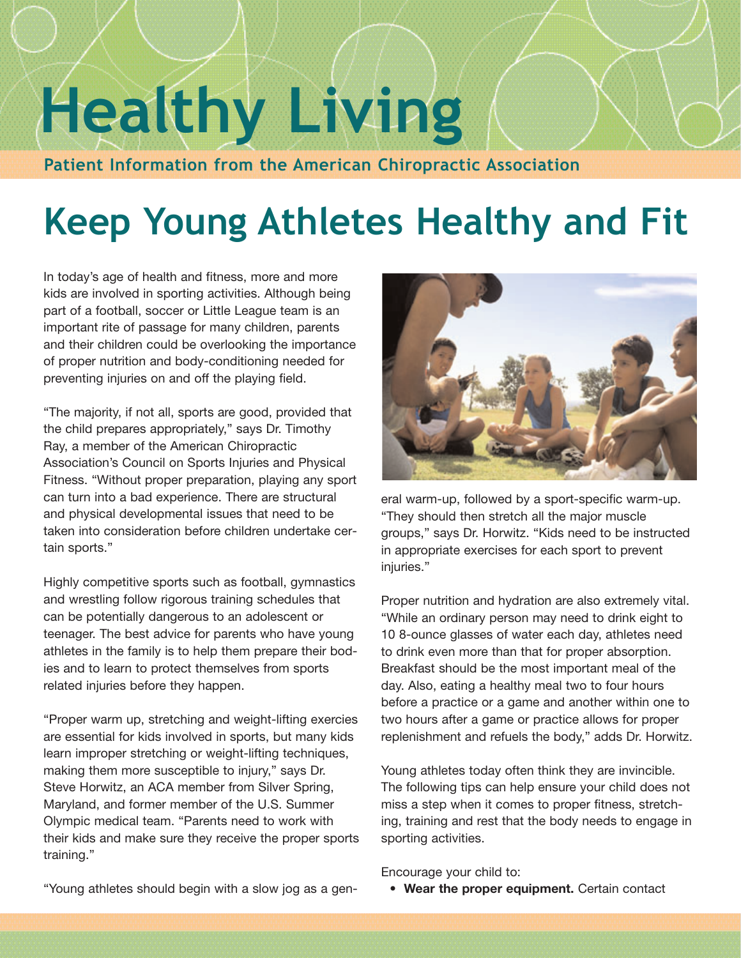## **Healthy Living**

**Patient Information from the American Chiropractic Association**

## **Keep Young Athletes Healthy and Fit**

In today's age of health and fitness, more and more kids are involved in sporting activities. Although being part of a football, soccer or Little League team is an important rite of passage for many children, parents and their children could be overlooking the importance of proper nutrition and body-conditioning needed for preventing injuries on and off the playing field.

"The majority, if not all, sports are good, provided that the child prepares appropriately," says Dr. Timothy Ray, a member of the American Chiropractic Association's Council on Sports Injuries and Physical Fitness. "Without proper preparation, playing any sport can turn into a bad experience. There are structural and physical developmental issues that need to be taken into consideration before children undertake certain sports."

Highly competitive sports such as football, gymnastics and wrestling follow rigorous training schedules that can be potentially dangerous to an adolescent or teenager. The best advice for parents who have young athletes in the family is to help them prepare their bodies and to learn to protect themselves from sports related injuries before they happen.

"Proper warm up, stretching and weight-lifting exercies are essential for kids involved in sports, but many kids learn improper stretching or weight-lifting techniques, making them more susceptible to injury," says Dr. Steve Horwitz, an ACA member from Silver Spring, Maryland, and former member of the U.S. Summer Olympic medical team. "Parents need to work with their kids and make sure they receive the proper sports training."



eral warm-up, followed by a sport-specific warm-up. "They should then stretch all the major muscle groups," says Dr. Horwitz. "Kids need to be instructed in appropriate exercises for each sport to prevent injuries."

Proper nutrition and hydration are also extremely vital. "While an ordinary person may need to drink eight to 10 8-ounce glasses of water each day, athletes need to drink even more than that for proper absorption. Breakfast should be the most important meal of the day. Also, eating a healthy meal two to four hours before a practice or a game and another within one to two hours after a game or practice allows for proper replenishment and refuels the body," adds Dr. Horwitz.

Young athletes today often think they are invincible. The following tips can help ensure your child does not miss a step when it comes to proper fitness, stretching, training and rest that the body needs to engage in sporting activities.

Encourage your child to:

• **Wear the proper equipment.** Certain contact

"Young athletes should begin with a slow jog as a gen-